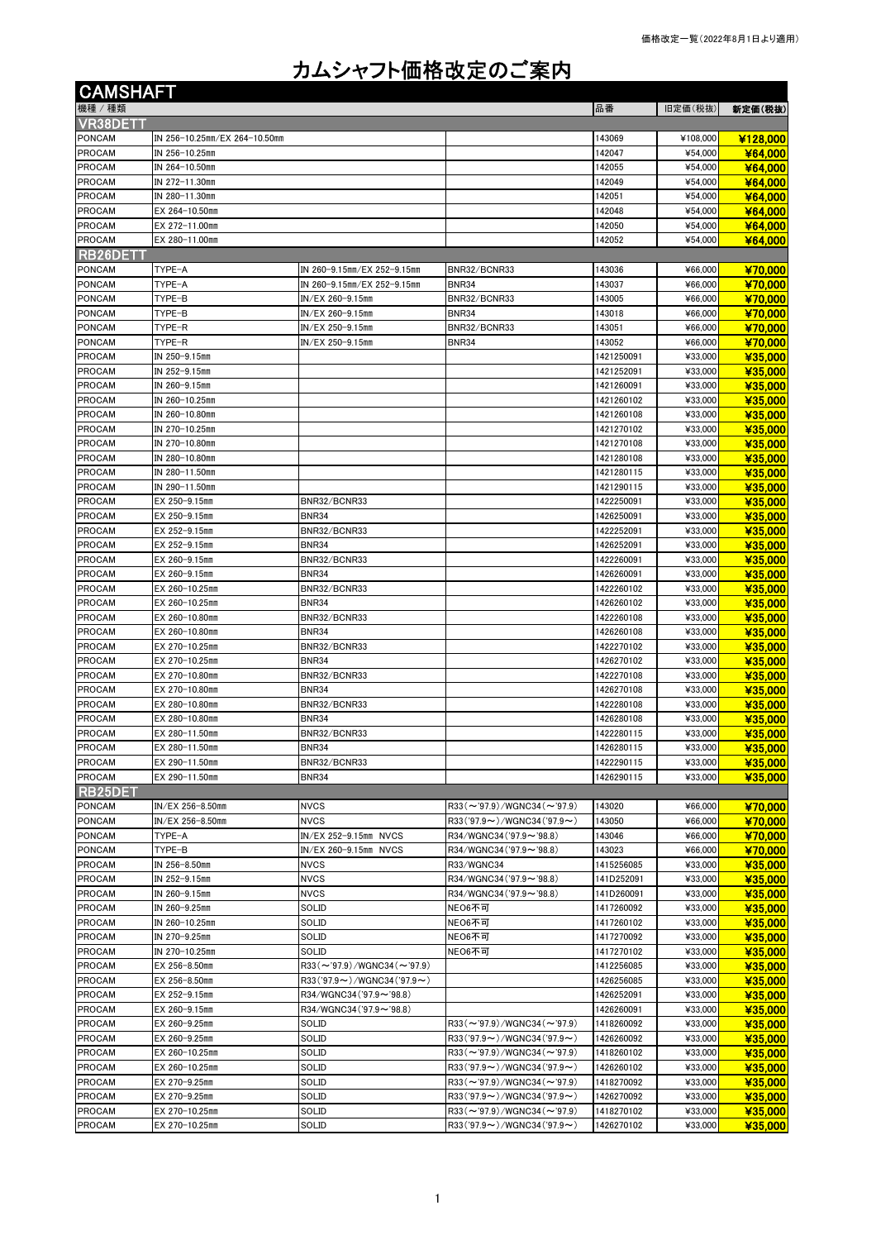## カムシャフト価格改定のご案内

| <b>CAMSHAFT</b>                |                                  |                                                                     |                                                                     |                          |                    |                    |
|--------------------------------|----------------------------------|---------------------------------------------------------------------|---------------------------------------------------------------------|--------------------------|--------------------|--------------------|
| 機種/種類                          |                                  |                                                                     |                                                                     | 品番                       | 旧定価(税抜)            | 新定価(税抜)            |
| VR38DETT                       |                                  |                                                                     |                                                                     |                          |                    |                    |
| <b>PONCAM</b>                  | IN 256-10.25mm/EX 264-10.50mm    |                                                                     |                                                                     | 143069                   | ¥108,000           | ¥128,000           |
| <b>PROCAM</b>                  | IN 256-10.25mm                   |                                                                     |                                                                     | 142047                   | ¥54,000            | ¥64,000            |
| <b>PROCAM</b>                  | IN 264-10.50mm                   |                                                                     |                                                                     | 142055                   | ¥54,000            | ¥64,000            |
| <b>PROCAM</b><br><b>PROCAM</b> | IN 272-11.30mm<br>IN 280-11.30mm |                                                                     |                                                                     | 142049<br>142051         | ¥54,000<br>¥54,000 | ¥64,000<br>¥64,000 |
| <b>PROCAM</b>                  | EX 264-10.50mm                   |                                                                     |                                                                     | 142048                   | ¥54,000            | ¥64,000            |
| <b>PROCAM</b>                  | EX 272-11.00mm                   |                                                                     |                                                                     | 142050                   | ¥54,000            | ¥64,000            |
| <b>PROCAM</b>                  | EX 280-11.00mm                   |                                                                     |                                                                     | 142052                   | ¥54,000            | ¥64,000            |
| RB26DET1                       |                                  |                                                                     |                                                                     |                          |                    |                    |
| <b>PONCAM</b>                  | TYPE-A                           | IN 260-9.15mm/EX 252-9.15mm                                         | BNR32/BCNR33                                                        | 143036                   | ¥66,000            | ¥70,000            |
| PONCAM                         | TYPE-A                           | IN 260-9.15mm/EX 252-9.15mm                                         | <b>BNR34</b>                                                        | 143037                   | ¥66,000            | ¥70,000            |
| <b>PONCAM</b>                  | TYPE-B                           | IN/EX 260-9.15mm                                                    | BNR32/BCNR33                                                        | 143005                   | ¥66,000            | ¥70,000            |
| PONCAM                         | TYPE-B                           | IN/EX 260-9.15mm                                                    | BNR34                                                               | 143018                   | ¥66,000            | ¥70,000            |
| <b>PONCAM</b>                  | TYPE-R                           | IN/EX 250-9.15mm                                                    | BNR32/BCNR33                                                        | 143051                   | ¥66,000            | ¥70,000            |
| <b>PONCAM</b><br>PROCAM        | TYPE-R<br>IN 250-9.15mm          | IN/EX 250-9.15mm                                                    | <b>BNR34</b>                                                        | 143052<br>1421250091     | ¥66,000<br>¥33,000 | ¥70,000<br>¥35,000 |
| PROCAM                         | IN 252-9.15mm                    |                                                                     |                                                                     | 1421252091               | ¥33,000            | ¥35,000            |
| PROCAM                         | IN 260-9.15mm                    |                                                                     |                                                                     | 1421260091               | ¥33,000            | ¥35,000            |
| PROCAM                         | IN 260-10.25mm                   |                                                                     |                                                                     | 1421260102               | ¥33,000            | ¥35,000            |
| <b>PROCAM</b>                  | IN 260-10.80mm                   |                                                                     |                                                                     | 1421260108               | ¥33,000            | ¥35,000            |
| <b>PROCAM</b>                  | IN 270-10.25mm                   |                                                                     |                                                                     | 1421270102               | ¥33,000            | ¥35,000            |
| PROCAM                         | IN 270-10.80mm                   |                                                                     |                                                                     | 1421270108               | ¥33,000            | ¥35,000            |
| <b>PROCAM</b>                  | IN 280-10.80mm                   |                                                                     |                                                                     | 1421280108               | ¥33,000            | ¥35,000            |
| <b>PROCAM</b>                  | IN 280-11.50mm                   |                                                                     |                                                                     | 1421280115               | ¥33,000            | ¥35,000            |
| <b>PROCAM</b>                  | IN 290-11.50mm                   |                                                                     |                                                                     | 1421290115               | ¥33,000            | ¥35,000            |
| <b>PROCAM</b><br><b>PROCAM</b> | EX 250-9.15mm<br>EX 250-9.15mm   | BNR32/BCNR33<br><b>BNR34</b>                                        |                                                                     | 1422250091               | ¥33,000<br>¥33,000 | ¥35,000            |
| <b>PROCAM</b>                  | EX 252-9.15mm                    | BNR32/BCNR33                                                        |                                                                     | 1426250091<br>1422252091 | ¥33,000            | ¥35,000<br>¥35,000 |
| <b>PROCAM</b>                  | EX 252-9.15mm                    | <b>BNR34</b>                                                        |                                                                     | 1426252091               | ¥33,000            | ¥35,000            |
| <b>PROCAM</b>                  | EX 260-9.15mm                    | BNR32/BCNR33                                                        |                                                                     | 1422260091               | ¥33,000            | ¥35,000            |
| PROCAM                         | EX 260-9.15mm                    | <b>BNR34</b>                                                        |                                                                     | 1426260091               | ¥33,000            | ¥35,000            |
| <b>PROCAM</b>                  | EX 260-10.25mm                   | BNR32/BCNR33                                                        |                                                                     | 1422260102               | ¥33,000            | ¥35,000            |
| PROCAM                         | EX 260-10.25mm                   | <b>BNR34</b>                                                        |                                                                     | 1426260102               | ¥33,000            | ¥35,000            |
| <b>PROCAM</b>                  | EX 260-10.80mm                   | BNR32/BCNR33                                                        |                                                                     | 1422260108               | ¥33,000            | ¥35,000            |
| PROCAM                         | EX 260-10.80mm                   | <b>BNR34</b>                                                        |                                                                     | 1426260108               | ¥33,000            | ¥35,000            |
| PROCAM                         | EX 270-10.25mm                   | BNR32/BCNR33                                                        |                                                                     | 1422270102               | ¥33,000            | ¥35,000            |
| <b>PROCAM</b><br>PROCAM        | EX 270-10.25mm<br>EX 270-10.80mm | <b>BNR34</b><br>BNR32/BCNR33                                        |                                                                     | 1426270102<br>1422270108 | ¥33,000<br>¥33,000 | ¥35,000<br>¥35,000 |
| <b>PROCAM</b>                  | EX 270-10.80mm                   | <b>BNR34</b>                                                        |                                                                     | 1426270108               | ¥33,000            | ¥35,000            |
| PROCAM                         | EX 280-10.80mm                   | BNR32/BCNR33                                                        |                                                                     | 1422280108               | ¥33,000            | ¥35,000            |
| PROCAM                         | EX 280-10.80mm                   | <b>BNR34</b>                                                        |                                                                     | 1426280108               | ¥33,000            | ¥35,000            |
| <b>PROCAM</b>                  | EX 280-11.50mm                   | BNR32/BCNR33                                                        |                                                                     | 1422280115               | ¥33,000            | ¥35,000            |
| <b>PROCAM</b>                  | EX 280-11.50mm                   | <b>BNR34</b>                                                        |                                                                     | 1426280115               | ¥33,000            | ¥35,000            |
| <b>PROCAM</b>                  | EX 290-11.50mm                   | BNR32/BCNR33                                                        |                                                                     | 1422290115               | ¥33,000            | ¥35,000            |
| <b>PROCAM</b>                  | EX 290-11.50mm                   | <b>BNR34</b>                                                        |                                                                     | 1426290115               | ¥33,000            | ¥35,000            |
| <b>RB25DET</b>                 |                                  |                                                                     |                                                                     |                          |                    |                    |
| <b>PONCAM</b><br>PONCAM        | IN/EX 256-8.50mm                 | <b>NVCS</b>                                                         | $R33 (\sim 97.9)/W$ GNC34 ( $\sim 97.9$ )                           | 143020                   | ¥66,000            | ¥70,000            |
| PONCAM                         | IN/EX 256-8.50mm<br>TYPE-A       | <b>NVCS</b><br>IN/EX 252-9.15mm NVCS                                | $R33('97.9\sim)$ /WGNC34('97.9~)<br>R34/WGNC34 ('97.9 $\sim$ '98.8) | 143050<br>143046         | ¥66,000<br>¥66,000 | ¥70,000<br>¥70,000 |
| PONCAM                         | TYPE-B                           | IN/EX 260-9.15mm NVCS                                               | R34/WGNC34('97.9~'98.8)                                             | 143023                   | ¥66,000            | ¥70.000            |
| PROCAM                         | IN 256-8.50mm                    | <b>NVCS</b>                                                         | R33/WGNC34                                                          | 1415256085               | ¥33,000            | ¥35,000            |
| <b>PROCAM</b>                  | IN 252-9.15mm                    | <b>NVCS</b>                                                         | R34/WGNC34 ('97.9~'98.8)                                            | 141D252091               | ¥33,000            | ¥35,000            |
| PROCAM                         | IN 260-9.15mm                    | <b>NVCS</b>                                                         | R34/WGNC34 ('97.9~'98.8)                                            | 141D260091               | ¥33,000            | ¥35,000            |
| <b>PROCAM</b>                  | IN 260-9.25mm                    | SOLID                                                               | NEO6不可                                                              | 1417260092               | ¥33,000            | ¥35,000            |
| PROCAM                         | IN 260-10.25mm                   | SOLID                                                               | NEO6不可                                                              | 1417260102               | ¥33,000            | ¥35,000            |
| <b>PROCAM</b>                  | IN 270-9.25mm                    | SOLID                                                               | NEO6不可                                                              | 1417270092               | ¥33,000            | ¥35,000            |
| PROCAM                         | IN 270-10.25mm                   | SOLID                                                               | NEO6不可                                                              | 1417270102               | ¥33,000            | ¥35,000            |
| PROCAM                         | EX 256-8.50mm                    | $R33 (\sim 97.9)/W$ GNC34 ( $\sim 97.9$ )                           |                                                                     | 1412256085               | ¥33,000            | ¥35,000            |
| PROCAM<br><b>PROCAM</b>        | EX 256-8.50mm<br>EX 252-9.15mm   | $R33('97.9\sim)/W$ GNC34('97.9 $\sim$ )<br>R34/WGNC34 ('97.9~'98.8) |                                                                     | 1426256085<br>1426252091 | ¥33,000<br>¥33,000 | ¥35,000<br>¥35,000 |
| PROCAM                         | EX 260-9.15mm                    | R34/WGNC34 ('97.9 $\sim$ '98.8)                                     |                                                                     | 1426260091               | ¥33,000            | ¥35,000            |
| PROCAM                         | EX 260-9.25mm                    | SOLID                                                               | $R33 (\sim 97.9)/W$ GNC34 ( $\sim 97.9$ )                           | 1418260092               | ¥33,000            | ¥35,000            |
| PROCAM                         | EX 260-9.25mm                    | SOLID                                                               | $R33('97.9\sim)/WGNC34('97.9\sim)$                                  | 1426260092               | ¥33,000            | ¥35,000            |
| PROCAM                         | EX 260-10.25mm                   | SOLID                                                               | $R33 (\sim 97.9)/W$ GNC34( $\sim 97.9$ )                            | 1418260102               | ¥33,000            | ¥35,000            |
| PROCAM                         | EX 260-10.25mm                   | SOLID                                                               | $R33('97.9\sim)/WGNC34('97.9\sim)$                                  | 1426260102               | ¥33,000            | ¥35 000            |
| <b>PROCAM</b>                  | EX 270-9.25mm                    | SOLID                                                               | $R33 (\sim 97.9)/W$ GNC34 ( $\sim 97.9$ )                           | 1418270092               | ¥33,000            | ¥35,000            |
| PROCAM                         | EX 270-9.25mm                    | SOLID                                                               | $R33('97.9\sim)/WGNC34('97.9\sim)$                                  | 1426270092               | ¥33,000            | ¥35,000            |
| PROCAM                         | EX 270-10.25mm                   | SOLID                                                               | $R33 (\sim 97.9)/W$ GNC34 ( $\sim 97.9$ )                           | 1418270102               | ¥33,000            | ¥35,000            |
| <b>PROCAM</b>                  | EX 270-10.25mm                   | SOLID                                                               | $R33('97.9\sim)/W$ GNC34 ('97.9 $\sim$ )                            | 1426270102               | ¥33,000            | ¥35,000            |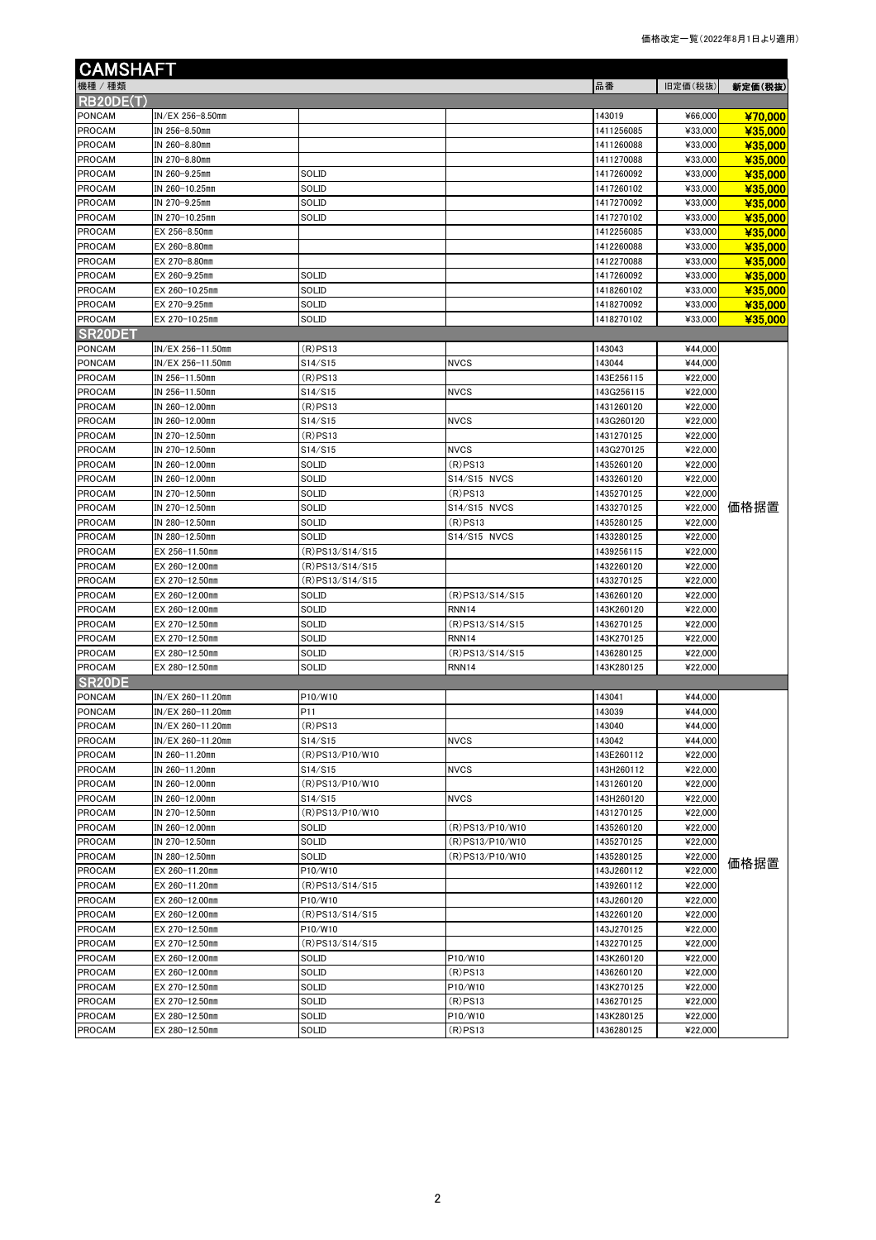| <b>CAMSHAFT</b>                |                                  |                  |                            |                          |                    |         |
|--------------------------------|----------------------------------|------------------|----------------------------|--------------------------|--------------------|---------|
| 機種 / 種類                        |                                  |                  |                            | 品番                       | 旧定価(税抜)            | 新定価(税抜) |
| RB20DE(T)                      |                                  |                  |                            |                          |                    |         |
| <b>PONCAM</b>                  | IN/EX 256-8.50mm                 |                  |                            | 143019                   | ¥66,000            | ¥70,000 |
| <b>PROCAM</b>                  | IN 256-8.50mm                    |                  |                            | 1411256085               | ¥33,000            | ¥35,000 |
| <b>PROCAM</b>                  | IN 260-8.80mm                    |                  |                            | 1411260088               | ¥33,000            | ¥35,000 |
| <b>PROCAM</b>                  | IN 270-8.80mm                    |                  |                            | 1411270088               | ¥33,000            | ¥35,000 |
| <b>PROCAM</b>                  | IN 260-9.25mm                    | SOLID            |                            | 1417260092               | ¥33,000            | ¥35,000 |
| PROCAM                         | IN 260-10.25mm                   | SOLID            |                            | 1417260102               | ¥33,000            | ¥35,000 |
| <b>PROCAM</b>                  | IN 270-9.25mm                    | SOLID            |                            | 1417270092               | ¥33,000            | ¥35,000 |
| <b>PROCAM</b>                  | IN 270-10.25mm                   | SOLID            |                            | 1417270102               | ¥33,000            | ¥35,000 |
| PROCAM                         | EX 256-8.50mm                    |                  |                            | 1412256085               | ¥33,000            | ¥35,000 |
| <b>PROCAM</b>                  | EX 260-8.80mm                    |                  |                            | 1412260088               | ¥33,000            | ¥35,000 |
| <b>PROCAM</b>                  | EX 270-8.80mm                    |                  |                            | 1412270088               | ¥33,000            | ¥35,000 |
| <b>PROCAM</b>                  | EX 260-9.25mm                    | SOLID            |                            | 1417260092               | ¥33,000            | ¥35,000 |
| <b>PROCAM</b>                  | EX 260-10.25mm                   | SOLID            |                            | 1418260102               | ¥33,000            | ¥35,000 |
| <b>PROCAM</b>                  | EX 270-9.25mm                    | SOLID            |                            | 1418270092               | ¥33,000            | ¥35,000 |
| <b>PROCAM</b>                  | EX 270-10.25mm                   | SOLID            |                            | 1418270102               | ¥33,000            | ¥35,000 |
| SR20DET                        |                                  |                  |                            |                          |                    |         |
| PONCAM                         | IN/EX 256-11.50mm                | $(R)$ PS13       |                            | 143043                   | ¥44,000            |         |
| <b>PONCAM</b>                  | IN/EX 256-11.50mm                | S14/S15          | <b>NVCS</b>                | 143044                   | ¥44,000            |         |
| <b>PROCAM</b>                  | IN 256-11.50mm                   | $(R)$ PS13       |                            | 143E256115               | ¥22,000            |         |
| <b>PROCAM</b>                  | IN 256-11.50mm                   | S14/S15          | <b>NVCS</b>                | 143G256115               | ¥22,000            |         |
| PROCAM                         | IN 260-12.00mm                   | (R)PS13          |                            | 1431260120               | ¥22,000            |         |
| <b>PROCAM</b>                  | IN 260-12.00mm                   | S14/S15          | <b>NVCS</b>                | 143G260120               | ¥22,000            |         |
| <b>PROCAM</b>                  | IN 270-12.50mm                   | $(R)$ PS13       |                            | 1431270125               | ¥22,000            |         |
| <b>PROCAM</b>                  | IN 270-12.50mm                   | S14/S15          | <b>NVCS</b>                | 143G270125               | ¥22,000            |         |
| <b>PROCAM</b>                  | IN 260-12.00mm                   | SOLID            | $(R)$ PS13                 | 1435260120               | ¥22,000            |         |
| <b>PROCAM</b>                  | IN 260-12.00mm                   | SOLID            | S14/S15 NVCS               | 1433260120               | ¥22,000<br>¥22,000 |         |
| <b>PROCAM</b>                  | IN 270-12.50mm                   | SOLID            | $(R)$ PS13                 | 1435270125               |                    | 価格据置    |
| <b>PROCAM</b><br><b>PROCAM</b> | IN 270-12.50mm<br>IN 280-12.50mm | SOLID<br>SOLID   | S14/S15 NVCS<br>$(R)$ PS13 | 1433270125<br>1435280125 | ¥22,000<br>¥22,000 |         |
| <b>PROCAM</b>                  | IN 280-12.50mm                   | SOLID            | S14/S15 NVCS               | 1433280125               | ¥22,000            |         |
| <b>PROCAM</b>                  | EX 256-11.50mm                   | (R)PS13/S14/S15  |                            | 1439256115               | ¥22,000            |         |
| <b>PROCAM</b>                  | EX 260-12.00mm                   | (R)PS13/S14/S15  |                            | 1432260120               | ¥22,000            |         |
| <b>PROCAM</b>                  | EX 270-12.50mm                   | (R) PS13/S14/S15 |                            | 1433270125               | ¥22,000            |         |
| <b>PROCAM</b>                  | EX 260-12.00mm                   | SOLID            | (R)PS13/S14/S15            | 1436260120               | ¥22,000            |         |
| <b>PROCAM</b>                  | EX 260-12.00mm                   | SOLID            | RNN <sub>14</sub>          | 143K260120               | ¥22,000            |         |
| <b>PROCAM</b>                  | EX 270-12.50mm                   | SOLID            | (R) PS13/S14/S15           | 1436270125               | ¥22,000            |         |
| <b>PROCAM</b>                  | EX 270-12.50mm                   | SOLID            | RNN <sub>14</sub>          | 143K270125               | ¥22,000            |         |
| <b>PROCAM</b>                  | EX 280-12.50mm                   | SOLID            | (R) PS13/S14/S15           | 1436280125               | ¥22,000            |         |
| <b>PROCAM</b>                  | EX 280-12.50mm                   | SOLID            | RNN14                      | 143K280125               | ¥22,000            |         |
| SR <sub>20</sub> DE            |                                  |                  |                            |                          |                    |         |
| PONCAM                         | IN/EX 260-11.20mm                | P10/W10          |                            | 143041                   | ¥44,000            |         |
| <b>PONCAM</b>                  | IN/EX 260-11.20mm                | P11              |                            | 143039                   | ¥44,000            |         |
| PROCAM                         | IN/EX 260-11.20mm                | (R)PS13          |                            | 143040                   | ¥44,000            |         |
| <b>PROCAM</b>                  | IN/EX 260-11.20mm                | S14/S15          | <b>NVCS</b>                | 143042                   | ¥44,000            |         |
| PROCAM                         | IN 260-11.20mm                   | (R) PS13/P10/W10 |                            | 143E260112               | ¥22,000            |         |
| <b>PROCAM</b>                  | IN 260-11.20mm                   | S14/S15          | <b>NVCS</b>                | 143H260112               | ¥22,000            |         |
| PROCAM                         | IN 260-12.00mm                   | (R)PS13/P10/W10  |                            | 1431260120               | ¥22,000            |         |
| <b>PROCAM</b>                  | IN 260-12.00mm                   | S14/S15          | <b>NVCS</b>                | 143H260120               | ¥22,000            |         |
| <b>PROCAM</b>                  | IN 270-12.50mm                   | (R)PS13/P10/W10  |                            | 1431270125               | ¥22,000            |         |
| <b>PROCAM</b>                  | IN 260-12.00mm                   | SOLID            | (R)PS13/P10/W10            | 1435260120               | ¥22,000            |         |
| <b>PROCAM</b>                  | IN 270-12.50mm                   | SOLID            | (R)PS13/P10/W10            | 1435270125               | ¥22,000            |         |
| PROCAM                         | IN 280-12.50mm                   | SOLID            | (R) PS13/P10/W10           | 1435280125               | ¥22,000            | 価格据置    |
| PROCAM                         | EX 260-11.20mm                   | P10/W10          |                            | 143J260112               | ¥22,000            |         |
| <b>PROCAM</b>                  | EX 260-11.20mm                   | (R)PS13/S14/S15  |                            | 1439260112               | ¥22,000            |         |
| <b>PROCAM</b>                  | EX 260-12.00mm                   | P10/W10          |                            | 143J260120               | ¥22,000            |         |
| PROCAM                         | EX 260-12.00mm                   | (R)PS13/S14/S15  |                            | 1432260120               | ¥22,000            |         |
| <b>PROCAM</b>                  | EX 270-12.50mm                   | P10/W10          |                            | 143J270125               | ¥22,000            |         |
| PROCAM                         | EX 270-12.50mm                   | (R) PS13/S14/S15 |                            | 1432270125               | ¥22,000            |         |
| PROCAM                         | EX 260-12.00mm                   | SOLID            | P10/W10                    | 143K260120               | ¥22,000            |         |
| <b>PROCAM</b>                  | EX 260-12.00mm                   | SOLID            | $(R)$ PS13                 | 1436260120               | ¥22,000            |         |
| PROCAM                         | EX 270-12.50mm                   | SOLID            | P10/W10                    | 143K270125               | ¥22,000            |         |
| <b>PROCAM</b>                  | EX 270-12.50mm                   | SOLID            | $(R)$ PS13                 | 1436270125               | ¥22,000            |         |
| <b>PROCAM</b>                  | EX 280-12.50mm                   | SOLID            | P10/W10                    | 143K280125               | ¥22,000            |         |
| PROCAM                         | EX 280-12.50mm                   | SOLID            | $(R)$ PS13                 | 1436280125               | ¥22,000            |         |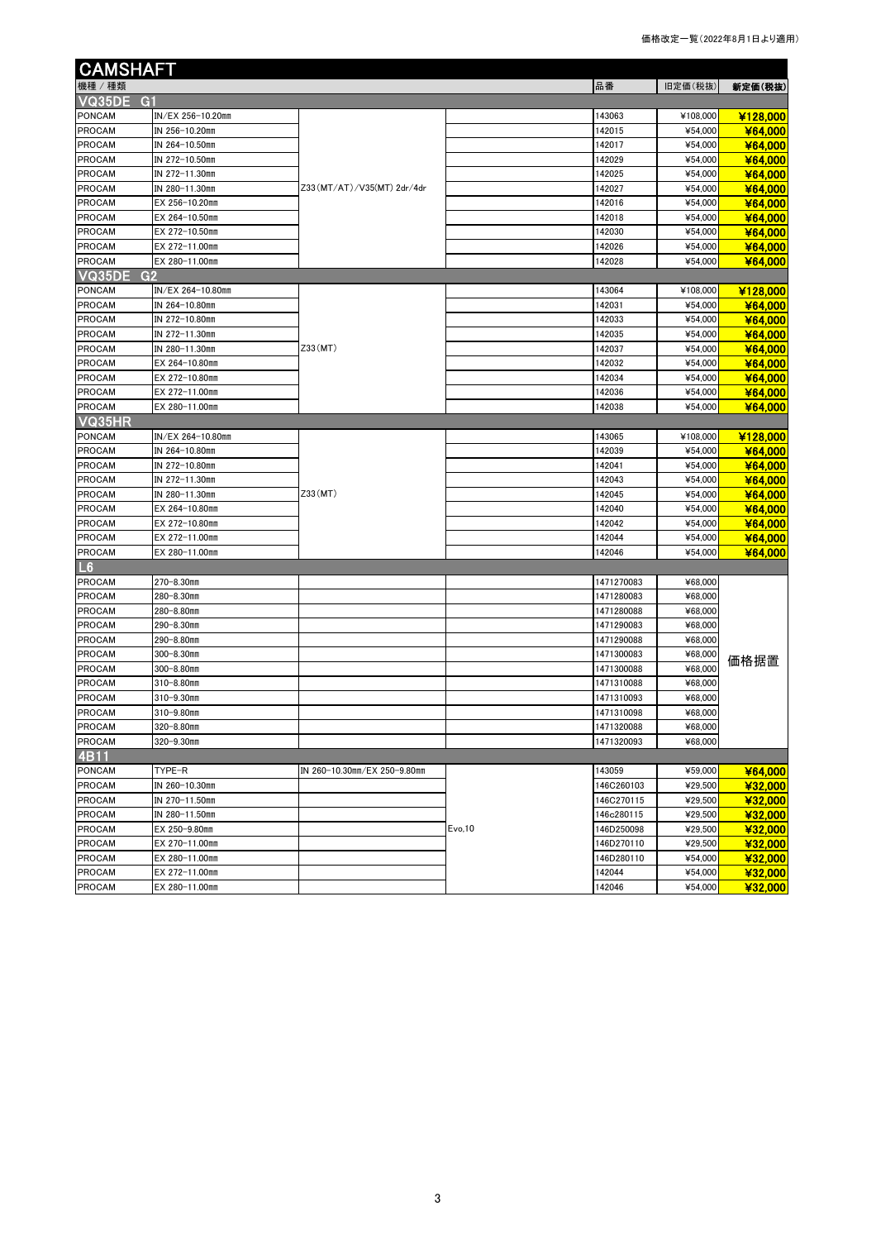| <b>CAMSHAFT</b>  |                   |                              |         |            |          |          |
|------------------|-------------------|------------------------------|---------|------------|----------|----------|
| 機種 / 種類          |                   |                              |         | 品番         | 旧定価(税抜)  | 新定価(税抜)  |
| <b>VQ35DE G1</b> |                   |                              |         |            |          |          |
| PONCAM           | IN/EX 256-10.20mm |                              |         | 143063     | ¥108,000 | ¥128,000 |
| <b>PROCAM</b>    | IN 256-10.20mm    |                              |         | 142015     | ¥54,000  | ¥64,000  |
| <b>PROCAM</b>    | IN 264-10.50mm    |                              |         | 142017     | ¥54,000  | ¥64,000  |
| <b>PROCAM</b>    | IN 272-10.50mm    |                              |         | 142029     | ¥54,000  | ¥64,000  |
| <b>PROCAM</b>    | IN 272-11.30mm    |                              |         | 142025     | ¥54,000  | ¥64,000  |
| <b>PROCAM</b>    | IN 280-11.30mm    | Z33 (MT/AT)/V35 (MT) 2dr/4dr |         | 142027     | ¥54,000  | ¥64,000  |
| <b>PROCAM</b>    | EX 256-10.20mm    |                              |         | 142016     | ¥54,000  | ¥64,000  |
| <b>PROCAM</b>    | EX 264-10.50mm    |                              |         | 142018     | ¥54,000  | ¥64.000  |
| <b>PROCAM</b>    | EX 272-10.50mm    |                              |         | 142030     | ¥54,000  | ¥64,000  |
| <b>PROCAM</b>    | EX 272-11.00mm    |                              |         | 142026     | ¥54,000  | ¥64,000  |
| <b>PROCAM</b>    | EX 280-11.00mm    |                              |         | 142028     | ¥54,000  | ¥64,000  |
| VQ35DE<br>G2     |                   |                              |         |            |          |          |
| PONCAM           | IN/EX 264-10.80mm |                              |         | 143064     | ¥108,000 | ¥128,000 |
| <b>PROCAM</b>    | IN 264-10.80mm    |                              |         | 142031     | ¥54,000  | ¥64,000  |
| <b>PROCAM</b>    | IN 272-10.80mm    |                              |         | 142033     | ¥54,000  | ¥64,000  |
| <b>PROCAM</b>    | IN 272-11.30mm    |                              |         | 142035     | ¥54,000  | ¥64,000  |
| <b>PROCAM</b>    | IN 280-11.30mm    | Z33(MT)                      |         | 142037     | ¥54,000  | ¥64,000  |
| <b>PROCAM</b>    | EX 264-10.80mm    |                              |         | 142032     | ¥54,000  | ¥64,000  |
| <b>PROCAM</b>    | EX 272-10.80mm    |                              |         | 142034     | ¥54,000  | ¥64,000  |
| <b>PROCAM</b>    | EX 272-11.00mm    |                              |         | 142036     | ¥54,000  | ¥64,000  |
| <b>PROCAM</b>    | EX 280-11.00mm    |                              |         | 142038     | ¥54,000  | ¥64,000  |
| VQ35HR           |                   |                              |         |            |          |          |
| <b>PONCAM</b>    | IN/EX 264-10.80mm |                              |         | 143065     | ¥108,000 | ¥128,000 |
| <b>PROCAM</b>    | IN 264-10.80mm    |                              |         | 142039     | ¥54,000  | ¥64,000  |
| <b>PROCAM</b>    | IN 272-10.80mm    |                              |         | 142041     | ¥54,000  | ¥64.000  |
| <b>PROCAM</b>    | IN 272-11.30mm    |                              |         | 142043     | ¥54,000  | ¥64,000  |
| <b>PROCAM</b>    | IN 280-11.30mm    | Z33(MT)                      |         | 142045     | ¥54,000  | ¥64,000  |
| <b>PROCAM</b>    | EX 264-10.80mm    |                              |         | 142040     | ¥54,000  | ¥64,000  |
| <b>PROCAM</b>    | EX 272-10.80mm    |                              |         | 142042     | ¥54,000  | ¥64,000  |
| <b>PROCAM</b>    | EX 272-11.00mm    |                              |         | 142044     | ¥54,000  | ¥64,000  |
| <b>PROCAM</b>    | EX 280-11.00mm    |                              |         | 142046     | ¥54,000  | ¥64,000  |
| L6               |                   |                              |         |            |          |          |
| PROCAM           | 270-8.30mm        |                              |         | 1471270083 | ¥68,000  |          |
| <b>PROCAM</b>    | 280-8.30mm        |                              |         | 1471280083 | ¥68,000  |          |
| <b>PROCAM</b>    | 280-8.80mm        |                              |         | 1471280088 | ¥68,000  |          |
| <b>PROCAM</b>    | 290-8.30mm        |                              |         | 1471290083 | ¥68,000  |          |
| <b>PROCAM</b>    | 290-8.80mm        |                              |         | 1471290088 | ¥68,000  |          |
| PROCAM           | 300-8.30mm        |                              |         | 1471300083 | ¥68,000  | 価格据置     |
| <b>PROCAM</b>    | $300 - 8.80$ mm   |                              |         | 1471300088 | ¥68,000  |          |
| <b>PROCAM</b>    | 310-8.80mm        |                              |         | 1471310088 | ¥68,000  |          |
| <b>PROCAM</b>    | 310-9.30mm        |                              |         | 1471310093 | ¥68,000  |          |
| <b>PROCAM</b>    | $310 - 9.80$ mm   |                              |         | 1471310098 | ¥68,000  |          |
| <b>PROCAM</b>    | 320-8.80mm        |                              |         | 1471320088 | ¥68,000  |          |
| <b>PROCAM</b>    | 320-9.30mm        |                              |         | 1471320093 | ¥68,000  |          |
| 4B11             |                   |                              |         |            |          |          |
| <b>PONCAM</b>    | TYPE-R            | IN 260-10.30mm/EX 250-9.80mm |         | 143059     | ¥59,000  | ¥64.000  |
| <b>PROCAM</b>    | IN 260-10.30mm    |                              |         | 146C260103 | ¥29,500  | ¥32,000  |
| <b>PROCAM</b>    | IN 270-11.50mm    |                              |         | 146C270115 | ¥29,500  | ¥32,000  |
| <b>PROCAM</b>    | IN 280-11.50mm    |                              |         | 146c280115 | ¥29,500  | ¥32,000  |
| <b>PROCAM</b>    | EX 250-9.80mm     |                              | Evo, 10 | 146D250098 | ¥29,500  | ¥32,000  |
| <b>PROCAM</b>    | EX 270-11.00mm    |                              |         | 146D270110 | ¥29,500  | ¥32,000  |
| <b>PROCAM</b>    | EX 280-11.00mm    |                              |         | 146D280110 | ¥54,000  | ¥32,000  |
| <b>PROCAM</b>    | EX 272-11.00mm    |                              |         | 142044     | ¥54,000  | ¥32,000  |
| <b>PROCAM</b>    | EX 280-11.00mm    |                              |         | 142046     | ¥54,000  | ¥32,000  |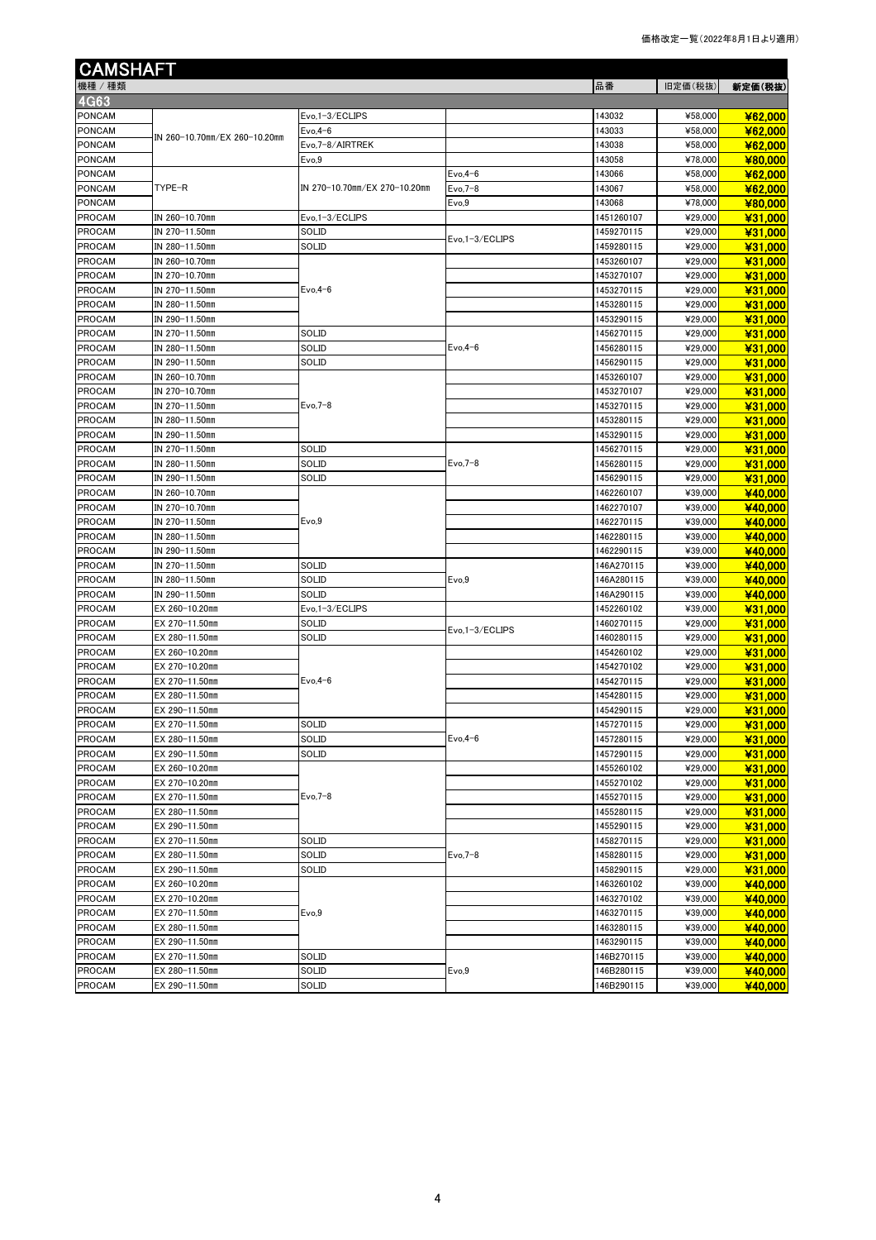| <b>CAMSHAFT</b> |                               |                               |                 |            |         |         |
|-----------------|-------------------------------|-------------------------------|-----------------|------------|---------|---------|
| 機種/種類           |                               |                               |                 | 品番         | 旧定価(税抜) | 新定価(税抜) |
| <b>4G63</b>     |                               |                               |                 |            |         |         |
| PONCAM          |                               | Evo,1-3/ECLIPS                |                 | 143032     | ¥58,000 | ¥62,000 |
| PONCAM          |                               | $Evo, 4-6$                    |                 | 143033     | ¥58,000 | ¥62,000 |
| <b>PONCAM</b>   | IN 260-10.70mm/EX 260-10.20mm | Evo, 7-8/AIRTREK              |                 | 143038     | ¥58,000 | ¥62,000 |
| PONCAM          |                               | Evo,9                         |                 | 143058     | ¥78,000 | ¥80,000 |
| PONCAM          |                               |                               | $Evo, 4-6$      | 143066     | ¥58,000 | ¥62,000 |
| <b>PONCAM</b>   | TYPE-R                        | IN 270-10.70mm/EX 270-10.20mm | $Evo,7-8$       | 143067     | ¥58,000 | ¥62,000 |
| <b>PONCAM</b>   |                               |                               | Evo,9           | 143068     | ¥78,000 | ¥80,000 |
| <b>PROCAM</b>   | IN 260-10.70mm                | Evo,1-3/ECLIPS                |                 | 1451260107 | ¥29,000 | ¥31,000 |
| PROCAM          | IN 270-11.50mm                | SOLID                         |                 | 1459270115 | ¥29,000 | ¥31,000 |
| <b>PROCAM</b>   | IN 280-11.50mm                | SOLID                         | Evo, 1-3/ECLIPS | 1459280115 | ¥29,000 | ¥31,000 |
| <b>PROCAM</b>   | IN 260-10.70mm                |                               |                 | 1453260107 | ¥29,000 | ¥31,000 |
| <b>PROCAM</b>   | IN 270-10.70mm                |                               |                 | 1453270107 | ¥29,000 | ¥31,000 |
| <b>PROCAM</b>   | IN 270-11.50mm                | $Evo, 4-6$                    |                 | 1453270115 | ¥29,000 | ¥31,000 |
| <b>PROCAM</b>   | IN 280-11.50mm                |                               |                 | 1453280115 | ¥29,000 | ¥31,000 |
| <b>PROCAM</b>   | IN 290-11.50mm                |                               |                 | 1453290115 | ¥29,000 | ¥31,000 |
| <b>PROCAM</b>   | IN 270-11.50mm                | SOLID                         |                 | 1456270115 | ¥29,000 | ¥31,000 |
| <b>PROCAM</b>   | IN 280-11.50mm                | SOLID                         | $Evo, 4-6$      | 1456280115 | ¥29,000 | ¥31,000 |
| <b>PROCAM</b>   | IN 290-11.50mm                | SOLID                         |                 | 1456290115 | ¥29,000 | ¥31,000 |
| <b>PROCAM</b>   | IN 260-10.70mm                |                               |                 | 1453260107 | ¥29,000 | ¥31,000 |
| <b>PROCAM</b>   | IN 270-10.70mm                |                               |                 | 1453270107 | ¥29,000 | ¥31.000 |
| <b>PROCAM</b>   | IN 270-11.50mm                | Evo, 7-8                      |                 | 1453270115 | ¥29,000 | ¥31,000 |
| <b>PROCAM</b>   | IN 280-11.50mm                |                               |                 | 1453280115 | ¥29,000 | ¥31,000 |
| <b>PROCAM</b>   | IN 290-11.50mm                |                               |                 | 1453290115 | ¥29,000 | ¥31,000 |
| <b>PROCAM</b>   | IN 270-11.50mm                | SOLID                         |                 | 1456270115 | ¥29,000 | ¥31.000 |
| <b>PROCAM</b>   | IN 280-11.50mm                | SOLID                         | $Evo.7-8$       | 1456280115 | ¥29,000 | ¥31,000 |
| <b>PROCAM</b>   | IN 290-11.50mm                | SOLID                         |                 | 1456290115 | ¥29,000 | ¥31.000 |
| <b>PROCAM</b>   | IN 260-10.70mm                |                               |                 | 1462260107 | ¥39,000 | ¥40,000 |
| <b>PROCAM</b>   | IN 270-10.70mm                |                               |                 | 1462270107 | ¥39,000 | ¥40,000 |
| PROCAM          | IN 270-11.50mm                | Evo,9                         |                 | 1462270115 | ¥39,000 | ¥40,000 |
| <b>PROCAM</b>   | IN 280-11.50mm                |                               |                 | 1462280115 | ¥39,000 | ¥40,000 |
| <b>PROCAM</b>   | IN 290-11.50mm                |                               |                 | 1462290115 | ¥39,000 | ¥40,000 |
| PROCAM          | IN 270-11.50mm                | SOLID                         |                 | 146A270115 | ¥39,000 | ¥40,000 |
| <b>PROCAM</b>   | IN 280-11.50mm                | SOLID                         | Evo,9           | 146A280115 | ¥39,000 | ¥40,000 |
| <b>PROCAM</b>   | IN 290-11.50mm                | SOLID                         |                 | 146A290115 | ¥39,000 | ¥40,000 |
| PROCAM          | EX 260-10.20mm                | Evo, 1-3/ECLIPS               |                 | 1452260102 | ¥39,000 | ¥31,000 |
| <b>PROCAM</b>   | EX 270-11.50mm                | SOLID                         |                 | 1460270115 | ¥29,000 | ¥31.000 |
| PROCAM          | EX 280-11.50mm                | SOLID                         | Evo.1-3/ECLIPS  | 1460280115 | ¥29,000 | ¥31,000 |
| <b>PROCAM</b>   | EX 260-10.20mm                |                               |                 | 1454260102 | ¥29,000 | ¥31,000 |
| <b>PROCAM</b>   | EX 270-10.20mm                |                               |                 | 1454270102 | ¥29,000 | ¥31,000 |
| <b>PROCAM</b>   | EX 270-11.50mm                | $Evo.4-6$                     |                 | 1454270115 | ¥29,000 | ¥31,000 |
| <b>PROCAM</b>   | EX 280-11.50mm                |                               |                 | 1454280115 | ¥29,000 | ¥31,000 |
| <b>PROCAM</b>   | EX 290-11.50mm                |                               |                 | 1454290115 | ¥29,000 | ¥31,000 |
| <b>PROCAM</b>   | EX 270-11.50mm                | SOLID                         |                 | 1457270115 | ¥29,000 | ¥31,000 |
| <b>PROCAM</b>   | EX 280-11.50mm                | SOLID                         | $Evo, 4-6$      | 1457280115 | ¥29,000 | ¥31,000 |
| PROCAM          | EX 290-11.50mm                | SOLID                         |                 | 1457290115 | ¥29,000 | ¥31,000 |
| PROCAM          | EX 260-10.20mm                |                               |                 | 1455260102 | ¥29,000 | ¥31.000 |
| <b>PROCAM</b>   | EX 270-10.20mm                |                               |                 | 1455270102 | ¥29,000 | ¥31,000 |
| PROCAM          | EX 270-11.50mm                | Evo, 7-8                      |                 | 1455270115 | ¥29,000 | ¥31,000 |
| PROCAM          | EX 280-11.50mm                |                               |                 | 1455280115 | ¥29.000 | ¥31,000 |
| <b>PROCAM</b>   | EX 290-11.50mm                |                               |                 | 1455290115 | ¥29,000 | ¥31.000 |
| PROCAM          | EX 270-11.50mm                | SOLID                         |                 | 1458270115 | ¥29,000 | ¥31,000 |
| <b>PROCAM</b>   | EX 280-11.50mm                | SOLID                         | $Evo,7-8$       | 1458280115 | ¥29,000 | ¥31.000 |
| PROCAM          | EX 290-11.50mm                | SOLID                         |                 | 1458290115 | ¥29,000 | ¥31,000 |
| PROCAM          | EX 260-10.20mm                |                               |                 | 1463260102 | ¥39,000 | ¥40,000 |
| <b>PROCAM</b>   | EX 270-10.20mm                |                               |                 | 1463270102 | ¥39,000 | ¥40,000 |
| PROCAM          | EX 270-11.50mm                | Evo,9                         |                 | 1463270115 | ¥39,000 | ¥40,000 |
| <b>PROCAM</b>   | EX 280-11.50mm                |                               |                 | 1463280115 | ¥39,000 | ¥40,000 |
| <b>PROCAM</b>   | EX 290-11.50mm                |                               |                 | 1463290115 | ¥39,000 | ¥40,000 |
| <b>PROCAM</b>   | EX 270-11.50mm                | SOLID                         |                 | 146B270115 | ¥39,000 | ¥40,000 |
| PROCAM          | EX 280-11.50mm                | SOLID                         | Evo,9           | 146B280115 | ¥39,000 | ¥40,000 |
| <b>PROCAM</b>   | EX 290-11.50mm                | SOLID                         |                 | 46B290115  | ¥39,000 | ¥40,000 |